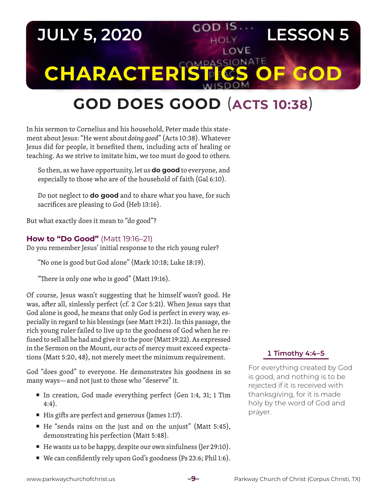# **JULY 5, 2020 COD IS. LESSON 5** LOVE **CHARACTERISTICS** C

# **GOD DOES GOOD** (**ACTS 10:38**)

In his sermon to Cornelius and his household, Peter made this statement about Jesus: "He went about *doing good*" (Acts 10:38). Whatever Jesus did for people, it benefited them, including acts of healing or teaching. As we strive to imitate him, we too must do good to others.

So then, as we have opportunity, let us **do good** to everyone, and especially to those who are of the household of faith (Gal 6:10).

Do not neglect to **do good** and to share what you have, for such sacrifices are pleasing to God (Heb 13:16).

But what exactly does it mean to "do good"?

## **How to "Do Good"** (Matt 19:16–21)

Do you remember Jesus' initial response to the rich young ruler?

"No one is good but God alone" (Mark 10:18; Luke 18:19).

"There is only one who is good" (Matt 19:16).

Of course, Jesus wasn't suggesting that he himself *wasn't* good. He was, after all, sinlessly perfect (cf. 2 Cor 5:21). When Jesus says that God alone is good, he means that only God is perfect in every way, especially in regard to his blessings (see Matt 19:21). In this passage, the rich young ruler failed to live up to the goodness of God when he refused to sell all he had and give it to the poor (Matt 19:22). As expressed in the Sermon on the Mount, our acts of mercy must exceed expectations (Matt 5:20, 48), not merely meet the minimum requirement.

God "does good" to everyone. He demonstrates his goodness in so many ways—and not just to those who "deserve" it.

- In creation, God made everything perfect (Gen 1:4, 31; 1 Tim 4:4).
- $\blacksquare$  His gifts are perfect and generous (James 1:17).
- He "sends rains on the just and on the unjust" (Matt 5:45), demonstrating his perfection (Matt 5:48).
- $\blacksquare$  He wants us to be happy, despite our own sinfulness (Jer 29:10).
- We can confidently rely upon God's goodness (Ps 23:6; Phil 1:6).

#### **1 Timothy 4:4–5**

For everything created by God is good, and nothing is to be rejected if it is received with thanksgiving, for it is made holy by the word of God and prayer.